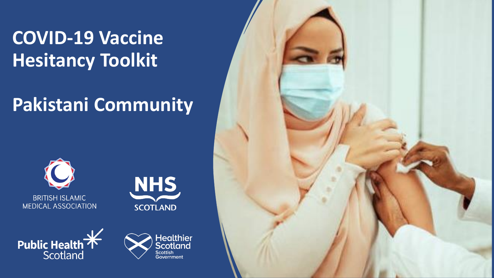#### **COVID-19 Vaccine Hesitancy Toolkit**

#### **Pakistani Community**









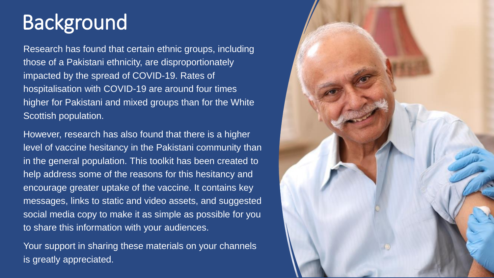### Background

Research has found that certain ethnic groups, including those of a Pakistani ethnicity, are disproportionately impacted by the spread of COVID-19. Rates of hospitalisation with COVID-19 are around four times higher for Pakistani and mixed groups than for the White Scottish population.

However, research has also found that there is a higher level of vaccine hesitancy in the Pakistani community than in the general population. This toolkit has been created to help address some of the reasons for this hesitancy and encourage greater uptake of the vaccine. It contains key messages, links to static and video assets, and suggested social media copy to make it as simple as possible for you to share this information with your audiences.

Your support in sharing these materials on your channels is greatly appreciated.

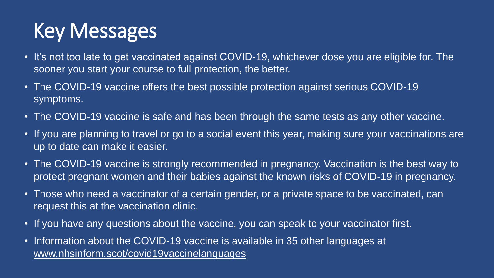# Key Messages

- It's not too late to get vaccinated against COVID-19, whichever dose you are eligible for. The sooner you start your course to full protection, the better.
- The COVID-19 vaccine offers the best possible protection against serious COVID-19 symptoms.
- The COVID-19 vaccine is safe and has been through the same tests as any other vaccine.
- If you are planning to travel or go to a social event this year, making sure your vaccinations are up to date can make it easier.
- The COVID-19 vaccine is strongly recommended in pregnancy. Vaccination is the best way to protect pregnant women and their babies against the known risks of COVID-19 in pregnancy.
- Those who need a vaccinator of a certain gender, or a private space to be vaccinated, can request this at the vaccination clinic.
- If you have any questions about the vaccine, you can speak to your vaccinator first.
- Information about the COVID-19 vaccine is available in 35 other languages at [www.nhsinform.scot/covid19vaccinelanguages](http://www.nhsinform.scot/covid19vaccinelanguages)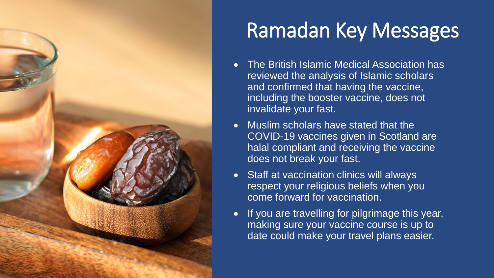

# Ramadan Key Messages

- The British Islamic Medical Association has reviewed the analysis of Islamic scholars and confirmed that having the vaccine, including the booster vaccine, does not invalidate your fast.
- Muslim scholars have stated that the COVID-19 vaccines given in Scotland are halal compliant and receiving the vaccine does not break your fast.
- Staff at vaccination clinics will always respect your religious beliefs when you come forward for vaccination.
- If you are travelling for pilgrimage this year, making sure your vaccine course is up to date could make your travel plans easier.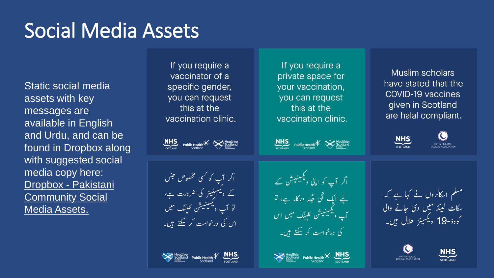#### Social Media Assets

Static social media assets with key messages are available in English and Urdu, and can be found in Dropbox along with suggested social media copy here: Dropbox - Pakistani [Community Social](https://www.dropbox.com/sh/pcuom8nngjo2fn0/AAAl9o-J4ab0x5nBdaaCbsGua?dl=0)  Media Assets.

If you require a vaccinator of a specific gender, you can request this at the vaccination clinic.

 $\underbrace{\text{NHS}}_{\text{scortand}}$  Public Health $\underset{\text{Scottand}}{\underbrace{\text{K}}}$ 

اگر آپ کو <sup>کس</sup>ی مخصوص جنں<br>کے ویکسینیٹر کی ضرورت ہے،<br>تو آپ ویکسینیشن کلینک میں اس کی درخواست کر سکتے ہیں۔

Mealthier<br>Scotland Public Health<br>Scotland Scotland

If you require a private space for your vaccination, you can request this at the vaccination clinic.

 $\sum_{\substack{\text{S}}_{\text{C}}\text{C}}$  Public Health  $\mathcal{H}\left(\bigtimes\right)$  Scotland

اگر آپ کو اپنی ویکسینیش <sub>کے</sub> لیے ایک نجی جگہ درکار ہے، تو<br>آپ ویکسینیشن کلینک میں اس کی درخواست کر سکتے ہیں۔

Scotland Public Health<br>Scotland Public Health<br>Scotland Scotland

**Muslim scholars** have stated that the **COVID-19 vaccines** given in Scotland are halal compliant.



مسلم اسکالروں نے کہا ہے کہ سکاٹ لینڈ میں دی جانے والی کووڈ-19 دیکسینز حلال ہیں۔



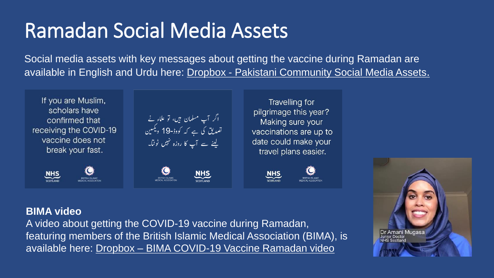# Ramadan Social Media Assets

Social media assets with key messages about getting the vaccine during Ramadan are available in English and Urdu here: Dropbox - [Pakistani Community Social Media Assets](https://www.dropbox.com/sh/pcuom8nngjo2fn0/AAAl9o-J4ab0x5nBdaaCbsGua?dl=0).

If you are Muslim, scholars have confirmed that receiving the COVID-19 vaccine does not break your fast.





**NHS** 

**Travelling for** pilgrimage this year? Making sure your vaccinations are up to date could make your travel plans easier.





#### **BIMA video**

A video about getting the COVID-19 vaccine during Ramadan, featuring members of the British Islamic Medical Association (BIMA), is available here: Dropbox – [BIMA COVID-19 Vaccine Ramadan video](https://www.dropbox.com/sh/klrrd8zw8drqe3f/AADEQrfTCbnlvswKhBNZ9xBka?dl=0)